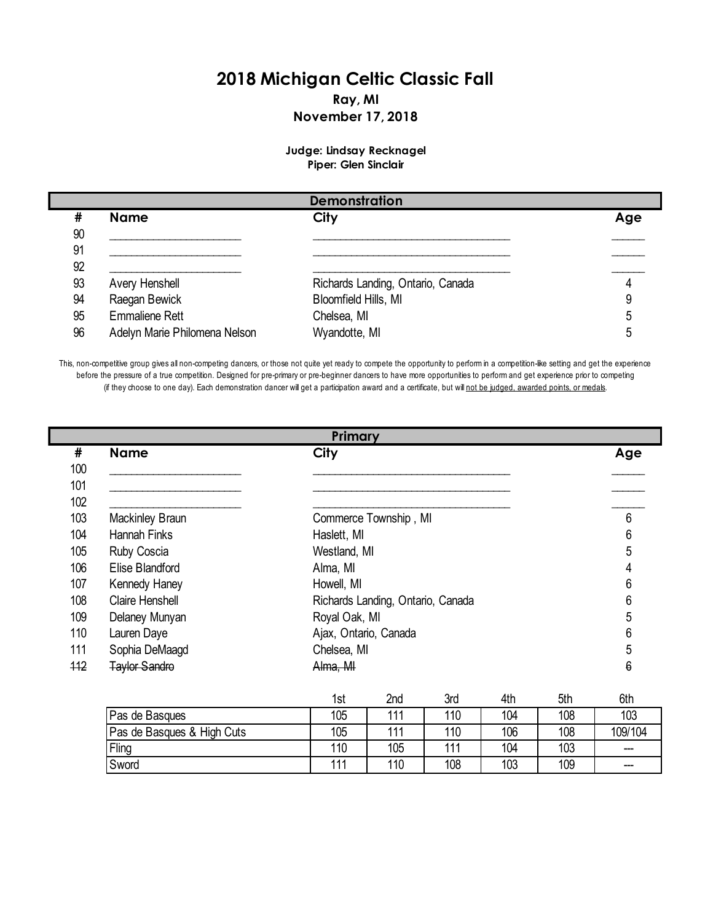## **2018 Michigan Celtic Classic Fall Ray, MI November 17, 2018**

## **Judge: Lindsay Recknagel Piper: Glen Sinclair**

|    |                               | <b>Demonstration</b>              |     |
|----|-------------------------------|-----------------------------------|-----|
| #  | <b>Name</b>                   | City                              | Age |
| 90 |                               |                                   |     |
| 91 |                               |                                   |     |
| 92 |                               |                                   |     |
| 93 | Avery Henshell                | Richards Landing, Ontario, Canada |     |
| 94 | Raegan Bewick                 | Bloomfield Hills, MI              |     |
| 95 | <b>Emmaliene Rett</b>         | Chelsea, MI                       |     |
| 96 | Adelyn Marie Philomena Nelson | Wyandotte, MI                     |     |

This, non-competitive group gives all non-competing dancers, or those not quite yet ready to compete the opportunity to perform in a competition-like setting and get the experience before the pressure of a true competition. Designed for pre-primary or pre-beginner dancers to have more opportunities to perform and get experience prior to competing (if they choose to one day). Each demonstration dancer will get a participation award and a certificate, but will not be judged, awarded points, or medals.

|     |                        | Primary               |                                   |                 |                 |     |     |
|-----|------------------------|-----------------------|-----------------------------------|-----------------|-----------------|-----|-----|
| #   | <b>Name</b>            | City                  |                                   |                 |                 |     | Age |
| 100 |                        |                       |                                   |                 |                 |     |     |
| 101 |                        |                       |                                   |                 |                 |     |     |
| 102 |                        |                       |                                   |                 |                 |     |     |
| 103 | Mackinley Braun        |                       | Commerce Township, MI             |                 |                 |     | 6   |
| 104 | <b>Hannah Finks</b>    | Haslett, MI           |                                   |                 |                 |     | 6   |
| 105 | Ruby Coscia            | Westland, MI          |                                   |                 |                 |     | 5   |
| 106 | Elise Blandford        | Alma, MI              |                                   |                 |                 |     | 4   |
| 107 | Kennedy Haney          | Howell, MI            |                                   |                 |                 |     | 6   |
| 108 | <b>Claire Henshell</b> |                       | Richards Landing, Ontario, Canada |                 |                 |     | 6   |
| 109 | Delaney Munyan         | Royal Oak, MI         |                                   |                 |                 |     | 5   |
| 110 | Lauren Daye            | Ajax, Ontario, Canada |                                   |                 |                 |     | 6   |
| 111 | Sophia DeMaagd         | Chelsea, MI           |                                   |                 |                 |     | 5   |
| 112 | <b>Taylor Sandro</b>   | Alma, MI              |                                   |                 |                 |     | 6   |
|     |                        | 1st                   | 2nd                               | 3rd             | 4th             | 5th | 6th |
|     | Pas de Rasques         | 105                   | 111                               | 11 <sub>0</sub> | 10 <sub>A</sub> | 108 | 103 |

|                            | ISI            | ∠na | əra | 4tn | эm  | otn     |
|----------------------------|----------------|-----|-----|-----|-----|---------|
| Pas de Basques             | 105            | 444 | 110 | 104 | 108 | 103     |
| Pas de Basques & High Cuts | 105            | 444 | 110 | 106 | 108 | 109/104 |
| Fling                      | 110            | 105 | 444 | 104 | 103 | ---     |
| Sword                      | $\overline{A}$ | 110 | 108 | 103 | 109 | ---     |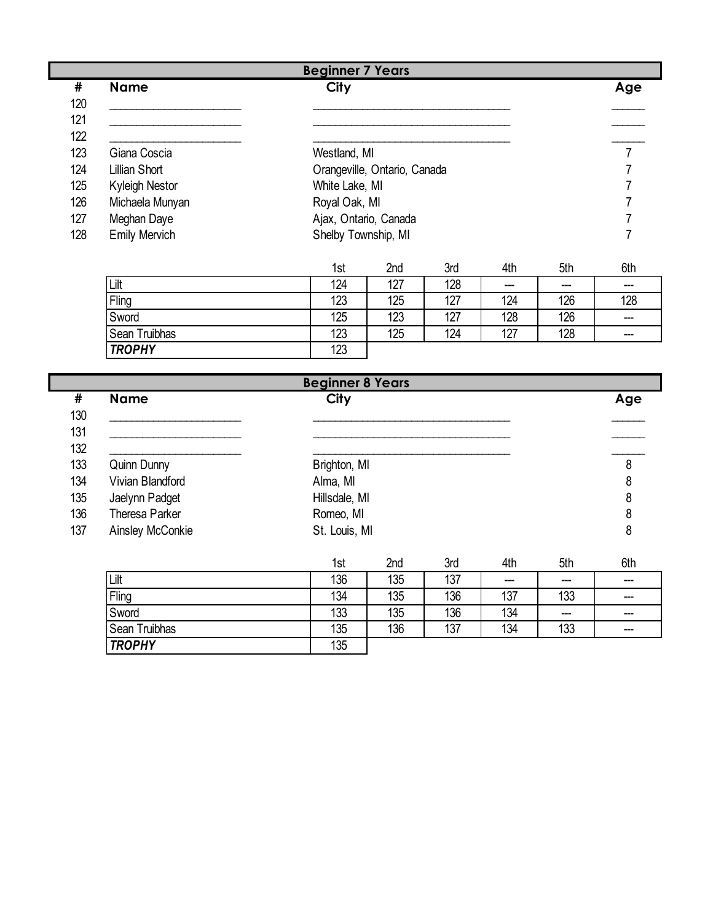|     |                      | <b>Beginner 7 Years</b>      |     |
|-----|----------------------|------------------------------|-----|
| #   | <b>Name</b>          | <b>City</b>                  | Age |
| 120 |                      |                              |     |
| 121 |                      |                              |     |
| 122 |                      |                              |     |
| 123 | Giana Coscia         | Westland, MI                 |     |
| 124 | Lillian Short        | Orangeville, Ontario, Canada |     |
| 125 | Kyleigh Nestor       | White Lake, MI               |     |
| 126 | Michaela Munyan      | Royal Oak, MI                |     |
| 127 | Meghan Daye          | Ajax, Ontario, Canada        |     |
| 128 | <b>Emily Mervich</b> | Shelby Township, MI          |     |
|     |                      |                              |     |

|               | 1st | 2 <sub>nd</sub> | 3rd | 4th  | 5th | 6th     |
|---------------|-----|-----------------|-----|------|-----|---------|
| Lilt          | 124 | 127             | 128 | $--$ | --- | $- - -$ |
| Fling         | 123 | 125             | 127 | 124  | 126 | 128     |
| Sword         | 125 | 123             | 127 | 128  | 126 | ---     |
| Sean Truibhas | 123 | 125             | 124 | 127  | 128 | ---     |
| <b>TROPHY</b> | 123 |                 |     |      |     |         |

|     | <b>Beginner 8 Years</b> |               |     |  |  |
|-----|-------------------------|---------------|-----|--|--|
| #   | <b>Name</b>             | <b>City</b>   | Age |  |  |
| 130 |                         |               |     |  |  |
| 131 |                         |               |     |  |  |
| 132 |                         |               |     |  |  |
| 133 | Quinn Dunny             | Brighton, MI  | 8   |  |  |
| 134 | Vivian Blandford        | Alma, MI      | 8   |  |  |
| 135 | Jaelynn Padget          | Hillsdale, MI | 8   |  |  |
| 136 | Theresa Parker          | Romeo, MI     | 8   |  |  |
| 137 | Ainsley McConkie        | St. Louis, MI | 8   |  |  |

|               | 1st | 2nd | 3rd | 4th | 5th | 6th |
|---------------|-----|-----|-----|-----|-----|-----|
| Lilt          | 136 | 135 | 137 | --- | --- | --- |
| Fling         | 134 | 135 | 136 | 137 | 133 | --- |
| Sword         | 133 | 135 | 136 | 134 | --- | --- |
| Sean Truibhas | 135 | 136 | 137 | 134 | 133 | --- |
| <b>TROPHY</b> | 135 |     |     |     |     |     |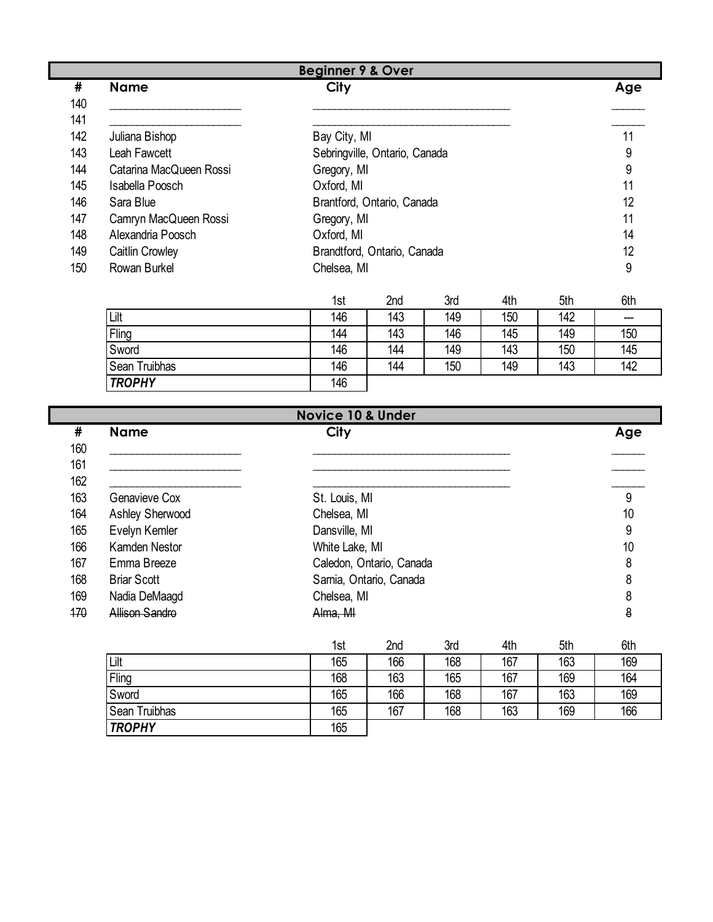|     |                         | <b>Beginner 9 &amp; Over</b>  |     |
|-----|-------------------------|-------------------------------|-----|
| #   | <b>Name</b>             | <b>City</b>                   | Age |
| 140 |                         |                               |     |
| 141 |                         |                               |     |
| 142 | Juliana Bishop          | Bay City, MI                  | 11  |
| 143 | Leah Fawcett            | Sebringville, Ontario, Canada | 9   |
| 144 | Catarina MacQueen Rossi | Gregory, MI                   | 9   |
| 145 | Isabella Poosch         | Oxford, MI                    | 11  |
| 146 | Sara Blue               | Brantford, Ontario, Canada    | 12  |
| 147 | Camryn MacQueen Rossi   | Gregory, MI                   | 11  |
| 148 | Alexandria Poosch       | Oxford, MI                    | 14  |
| 149 | <b>Caitlin Crowley</b>  | Brandtford, Ontario, Canada   | 12  |
| 150 | Rowan Burkel            | Chelsea, MI                   | 9   |

|               | 1st | 2 <sub>nd</sub> | 3rd | 4th | 5th | 6th |
|---------------|-----|-----------------|-----|-----|-----|-----|
| Lilt          | 146 | 143             | 149 | 150 | 142 | --- |
| Fling         | 144 | 143             | 146 | 145 | 149 | 150 |
| Sword         | 146 | 144             | 149 | 143 | 150 | 145 |
| Sean Truibhas | 146 | 144             | 150 | 149 | 143 | 142 |
| <b>TROPHY</b> | 146 |                 |     |     |     |     |

|     |                      | <b>Novice 10 &amp; Under</b> |                          |     |     |     |     |
|-----|----------------------|------------------------------|--------------------------|-----|-----|-----|-----|
| #   | <b>Name</b>          | <b>City</b>                  |                          |     |     |     | Age |
| 160 |                      |                              |                          |     |     |     |     |
| 161 |                      |                              |                          |     |     |     |     |
| 162 |                      |                              |                          |     |     |     |     |
| 163 | Genavieve Cox        | St. Louis, MI                |                          |     |     |     | 9   |
| 164 | Ashley Sherwood      | Chelsea, MI                  |                          |     |     |     | 10  |
| 165 | Evelyn Kemler        | Dansville, MI                |                          |     |     |     | 9   |
| 166 | <b>Kamden Nestor</b> | White Lake, MI               |                          |     |     |     | 10  |
| 167 | Emma Breeze          |                              | Caledon, Ontario, Canada |     |     |     | 8   |
| 168 | <b>Briar Scott</b>   |                              | Sarnia, Ontario, Canada  |     |     |     | 8   |
| 169 | Nadia DeMaagd        | Chelsea, MI                  |                          |     |     |     | 8   |
| 170 | Allison Sandro       | Alma, MI                     |                          |     |     |     | 8   |
|     |                      | 1st                          | 2nd                      | 3rd | 4th | 5th | 6th |
|     | Lilt                 | 165                          | 166                      | 168 | 167 | 163 | 169 |

| Lilt             | 165 | 166 | 168 | 167 | 163 | 169 |
|------------------|-----|-----|-----|-----|-----|-----|
| Fling            | 168 | 163 | 165 | 167 | 169 | 164 |
| Sword            | 165 | 166 | 168 | 167 | 163 | 169 |
| Truibhas<br>Sean | 165 | 167 | 168 | 163 | 169 | 166 |
| <b>TROPHY</b>    | 165 |     |     |     |     |     |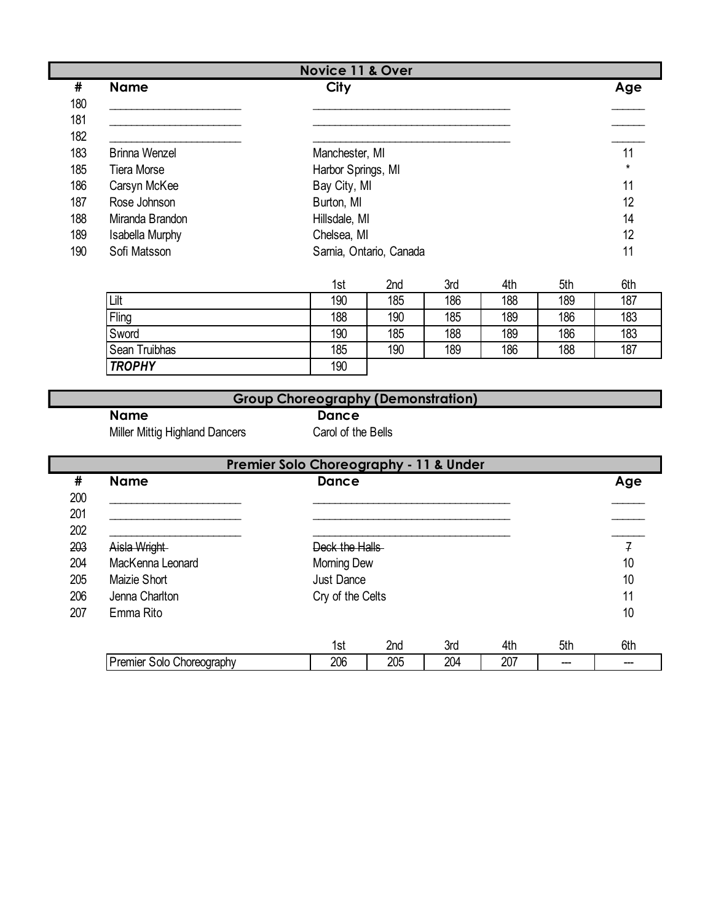| #   | <b>Name</b>          | <b>Novice 11 &amp; Over</b><br>City       |     |     |     |     | Age     |
|-----|----------------------|-------------------------------------------|-----|-----|-----|-----|---------|
| 180 |                      |                                           |     |     |     |     |         |
| 181 |                      |                                           |     |     |     |     |         |
| 182 |                      |                                           |     |     |     |     |         |
| 183 | <b>Brinna Wenzel</b> | Manchester, MI                            |     |     |     |     | 11      |
| 185 | <b>Tiera Morse</b>   | Harbor Springs, MI                        |     |     |     |     | $\star$ |
| 186 | Carsyn McKee         | Bay City, MI                              |     |     |     |     | 11      |
| 187 | Rose Johnson         | Burton, MI                                |     |     |     |     | 12      |
| 188 | Miranda Brandon      | Hillsdale, MI                             |     |     |     |     | 14      |
| 189 | Isabella Murphy      | Chelsea, MI                               |     |     |     |     | 12      |
| 190 | Sofi Matsson         | Sarnia, Ontario, Canada                   |     |     |     |     | 11      |
|     |                      | 1st                                       | 2nd | 3rd | 4th | 5th | 6th     |
|     | Lilt                 | 190                                       | 185 | 186 | 188 | 189 | 187     |
|     | Fling                | 188                                       | 190 | 185 | 189 | 186 | 183     |
|     | Sword                | 190                                       | 185 | 188 | 189 | 186 | 183     |
|     | Sean Truibhas        | 185                                       | 190 | 189 | 186 | 188 | 187     |
|     | <b>TROPHY</b>        | 190                                       |     |     |     |     |         |
|     |                      |                                           |     |     |     |     |         |
|     |                      | <b>Group Choreography (Demonstration)</b> |     |     |     |     |         |
|     | <b>Name</b>          | <b>Dance</b>                              |     |     |     |     |         |

Miller Mittig Highland Dancers Carol of the Bells

|     | <b>Premier Solo Choreography - 11 &amp; Under</b> |                   |     |     |     |     |                |
|-----|---------------------------------------------------|-------------------|-----|-----|-----|-----|----------------|
| #   | <b>Name</b>                                       | Dance             |     |     |     |     | Age            |
| 200 |                                                   |                   |     |     |     |     |                |
| 201 |                                                   |                   |     |     |     |     |                |
| 202 |                                                   |                   |     |     |     |     |                |
| 203 | Aisla Wright                                      | Deck the Halls    |     |     |     |     | $\overline{f}$ |
| 204 | MacKenna Leonard                                  | Morning Dew       |     |     |     |     | 10             |
| 205 | Maizie Short                                      | <b>Just Dance</b> |     |     |     |     | 10             |
| 206 | Jenna Charlton                                    | Cry of the Celts  |     |     |     |     | 11             |
| 207 | Emma Rito                                         |                   |     |     |     |     | 10             |
|     |                                                   | 1st               | 2nd | 3rd | 4th | 5th | 6th            |
|     | Premier Solo Choreography                         | 206               | 205 | 204 | 207 |     |                |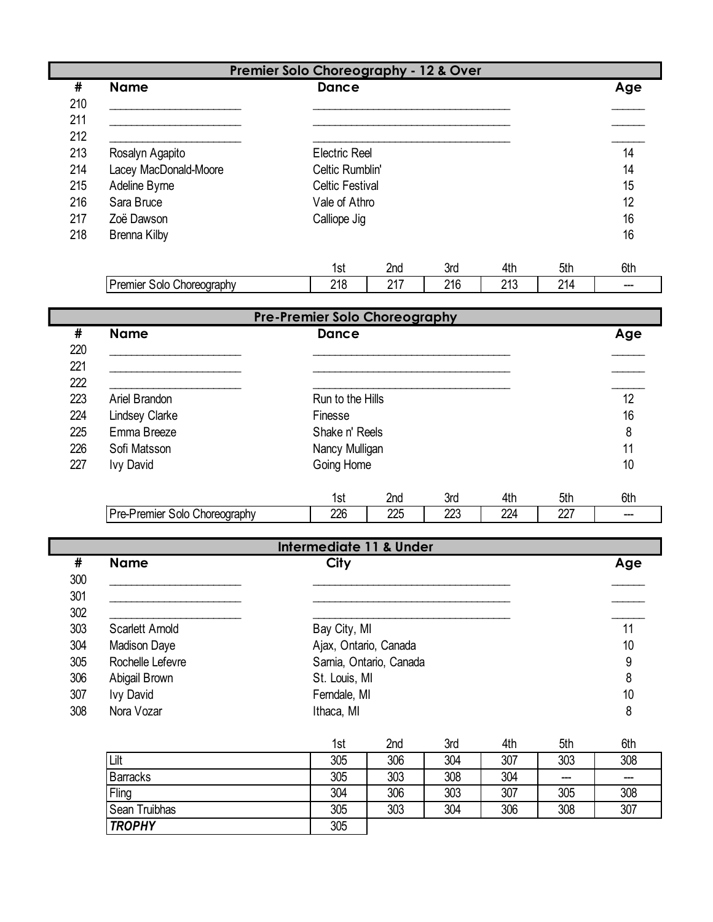|     |                               | Premier Solo Choreography - 12 & Over |                         |     |     |     |     |
|-----|-------------------------------|---------------------------------------|-------------------------|-----|-----|-----|-----|
| #   | <b>Name</b>                   | <b>Dance</b>                          |                         |     |     |     | Age |
| 210 |                               |                                       |                         |     |     |     |     |
| 211 |                               |                                       |                         |     |     |     |     |
| 212 |                               |                                       |                         |     |     |     |     |
| 213 | Rosalyn Agapito               | <b>Electric Reel</b>                  |                         |     |     |     | 14  |
| 214 | Lacey MacDonald-Moore         | Celtic Rumblin'                       |                         |     |     |     | 14  |
| 215 | Adeline Byrne                 | <b>Celtic Festival</b>                |                         |     |     |     | 15  |
| 216 | Sara Bruce                    | Vale of Athro                         |                         |     |     |     | 12  |
| 217 | Zoë Dawson                    | Calliope Jig                          |                         |     |     |     | 16  |
| 218 | <b>Brenna Kilby</b>           |                                       |                         |     |     |     | 16  |
|     |                               |                                       |                         |     |     |     |     |
|     |                               | 1st                                   | 2nd                     | 3rd | 4th | 5th | 6th |
|     | Premier Solo Choreography     | 218                                   | 217                     | 216 | 213 | 214 | --- |
|     |                               |                                       |                         |     |     |     |     |
|     |                               | <b>Pre-Premier Solo Choreography</b>  |                         |     |     |     |     |
| #   | <b>Name</b>                   | <b>Dance</b>                          |                         |     |     |     | Age |
| 220 |                               |                                       |                         |     |     |     |     |
| 221 |                               |                                       |                         |     |     |     |     |
| 222 |                               |                                       |                         |     |     |     |     |
| 223 | Ariel Brandon                 | Run to the Hills                      |                         |     |     |     | 12  |
| 224 | <b>Lindsey Clarke</b>         | Finesse                               |                         |     |     |     | 16  |
| 225 | Emma Breeze                   | Shake n' Reels                        |                         |     |     |     | 8   |
| 226 | Sofi Matsson                  | Nancy Mulligan                        |                         |     |     |     | 11  |
| 227 | <b>Ivy David</b>              | Going Home                            |                         |     |     |     | 10  |
|     |                               |                                       |                         |     |     |     |     |
|     |                               | 1st                                   | 2nd                     | 3rd | 4th | 5th | 6th |
|     | Pre-Premier Solo Choreography | 226                                   | 225                     | 223 | 224 | 227 |     |
|     |                               |                                       |                         |     |     |     |     |
|     |                               | <b>Intermediate 11 &amp; Under</b>    |                         |     |     |     |     |
| #   | <b>Name</b>                   | City                                  |                         |     |     |     | Age |
| 300 |                               |                                       |                         |     |     |     |     |
| 301 |                               |                                       |                         |     |     |     |     |
| 302 |                               |                                       |                         |     |     |     |     |
| 303 | Scarlett Arnold               | Bay City, MI                          |                         |     |     |     | 11  |
| 304 | <b>Madison Daye</b>           | Ajax, Ontario, Canada                 |                         |     |     |     | 10  |
| 305 | Rochelle Lefevre              |                                       | Sarnia, Ontario, Canada |     |     |     | 9   |
| 306 | Abigail Brown                 | St. Louis, MI                         |                         |     |     |     | 8   |
| 307 | <b>Ivy David</b>              | Ferndale, MI                          |                         |     |     |     | 10  |
| 308 | Nora Vozar                    | Ithaca, MI                            |                         |     |     |     | 8   |
|     |                               |                                       |                         |     |     |     |     |
|     |                               | 1st                                   | 2nd                     | 3rd | 4th | 5th | 6th |
|     | Lilt                          | 305                                   | 306                     | 304 | 307 | 303 | 308 |
|     | <b>Barracks</b>               | 305                                   | 303                     | 308 | 304 | --- | --- |
|     | Fling                         | 304                                   | 306                     | 303 | 307 | 305 | 308 |
|     | Sean Truibhas                 | 305                                   | 303                     | 304 | 306 | 308 | 307 |
|     | <b>TROPHY</b>                 | 305                                   |                         |     |     |     |     |
|     |                               |                                       |                         |     |     |     |     |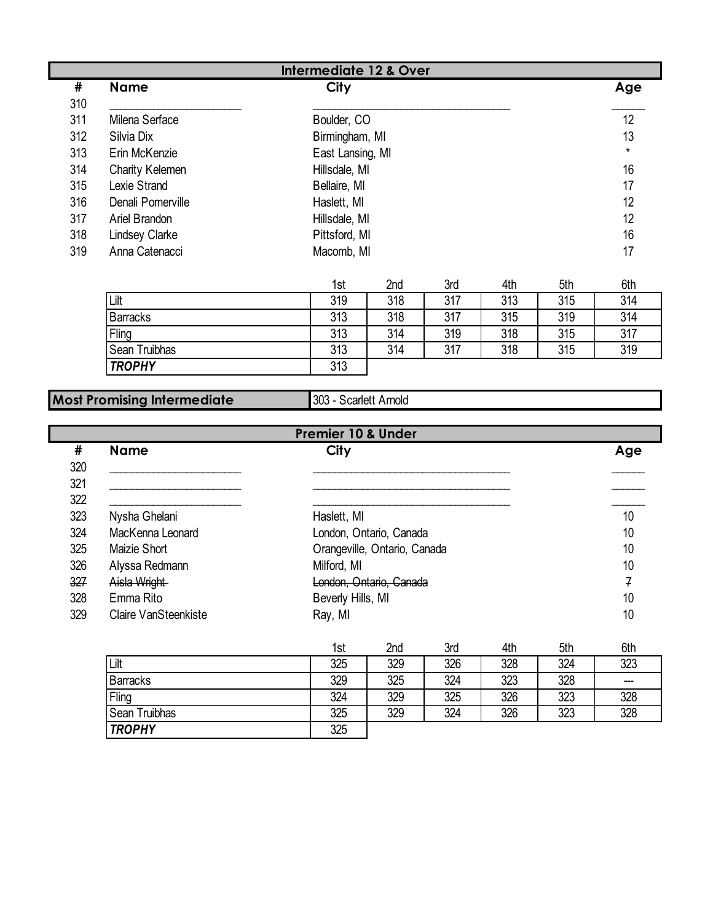|          | <b>Intermediate 12 &amp; Over</b> |                  |         |  |  |  |  |
|----------|-----------------------------------|------------------|---------|--|--|--|--|
| #<br>310 | <b>Name</b>                       | <b>City</b>      | Age     |  |  |  |  |
| 311      | Milena Serface                    | Boulder, CO      | 12      |  |  |  |  |
| 312      | Silvia Dix                        | Birmingham, MI   | 13      |  |  |  |  |
| 313      | Erin McKenzie                     | East Lansing, MI | $\star$ |  |  |  |  |
| 314      | Charity Kelemen                   | Hillsdale, MI    | 16      |  |  |  |  |
| 315      | Lexie Strand                      | Bellaire, MI     | 17      |  |  |  |  |
| 316      | Denali Pomerville                 | Haslett, MI      | 12      |  |  |  |  |
| 317      | Ariel Brandon                     | Hillsdale, MI    | 12      |  |  |  |  |
| 318      | <b>Lindsey Clarke</b>             | Pittsford, MI    | 16      |  |  |  |  |
| 319      | Anna Catenacci                    | Macomb, MI       | 17      |  |  |  |  |

|                      | 1st | 2nd | 3rd | 4th | 5th | 6th |
|----------------------|-----|-----|-----|-----|-----|-----|
| Lilt                 | 319 | 318 | 317 | 313 | 315 | 314 |
| <b>Barracks</b>      | 313 | 318 | 317 | 315 | 319 | 314 |
| Fling                | 313 | 314 | 319 | 318 | 315 | 317 |
| <b>Sean Truibhas</b> | 313 | 314 | 317 | 318 | 315 | 319 |
| <b>TROPHY</b>        | 313 |     |     |     |     |     |

## **Most Promising Intermediate**

303 - Scarlett Arnold

| <b>Premier 10 &amp; Under</b> |                      |                              |     |  |  |
|-------------------------------|----------------------|------------------------------|-----|--|--|
| #                             | <b>Name</b>          | <b>City</b>                  | Age |  |  |
| 320                           |                      |                              |     |  |  |
| 321                           |                      |                              |     |  |  |
| 322                           |                      |                              |     |  |  |
| 323                           | Nysha Ghelani        | Haslett, MI                  | 10  |  |  |
| 324                           | MacKenna Leonard     | London, Ontario, Canada      | 10  |  |  |
| 325                           | Maizie Short         | Orangeville, Ontario, Canada | 10  |  |  |
| 326                           | Alyssa Redmann       | Milford, MI                  | 10  |  |  |
| 327                           | Aisla Wright         | London, Ontario, Canada      | 7   |  |  |
| 328                           | Emma Rito            | Beverly Hills, MI            | 10  |  |  |
| 329                           | Claire VanSteenkiste | Ray, MI                      | 10  |  |  |

|                 | 1st | 2 <sub>nd</sub> | 3rd | 4th | 5th | 6th |
|-----------------|-----|-----------------|-----|-----|-----|-----|
| Lilt            | 325 | 329             | 326 | 328 | 324 | 323 |
| <b>Barracks</b> | 329 | 325             | 324 | 323 | 328 | --- |
| Fling           | 324 | 329             | 325 | 326 | 323 | 328 |
| Sean Truibhas   | 325 | 329             | 324 | 326 | 323 | 328 |
| <b>TROPHY</b>   | 325 |                 |     |     |     |     |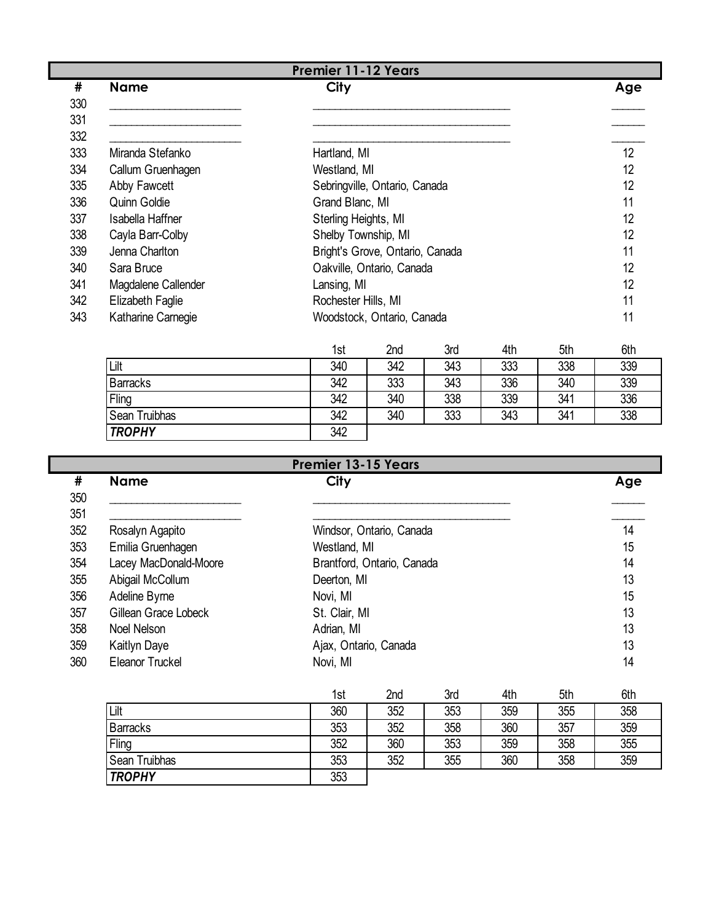|     | <b>Premier 11-12 Years</b> |                                 |     |  |  |  |
|-----|----------------------------|---------------------------------|-----|--|--|--|
| #   | <b>Name</b>                | <b>City</b>                     | Age |  |  |  |
| 330 |                            |                                 |     |  |  |  |
| 331 |                            |                                 |     |  |  |  |
| 332 |                            |                                 |     |  |  |  |
| 333 | Miranda Stefanko           | Hartland, MI                    | 12  |  |  |  |
| 334 | Callum Gruenhagen          | Westland, MI                    | 12  |  |  |  |
| 335 | Abby Fawcett               | Sebringville, Ontario, Canada   | 12  |  |  |  |
| 336 | Quinn Goldie               | Grand Blanc, MI                 | 11  |  |  |  |
| 337 | Isabella Haffner           | Sterling Heights, MI            | 12  |  |  |  |
| 338 | Cayla Barr-Colby           | Shelby Township, MI             | 12  |  |  |  |
| 339 | Jenna Charlton             | Bright's Grove, Ontario, Canada | 11  |  |  |  |
| 340 | Sara Bruce                 | Oakville, Ontario, Canada       | 12  |  |  |  |
| 341 | Magdalene Callender        | Lansing, MI                     | 12  |  |  |  |
| 342 | Elizabeth Faglie           | Rochester Hills, MI             | 11  |  |  |  |
| 343 | Katharine Carnegie         | Woodstock, Ontario, Canada      | 11  |  |  |  |

|                 | 1st | 2nd | 3rd | 4th | 5th | 6th |
|-----------------|-----|-----|-----|-----|-----|-----|
| Lilt            | 340 | 342 | 343 | 333 | 338 | 339 |
| <b>Barracks</b> | 342 | 333 | 343 | 336 | 340 | 339 |
| Fling           | 342 | 340 | 338 | 339 | 341 | 336 |
| Sean Truibhas   | 342 | 340 | 333 | 343 | 341 | 338 |
| <b>TROPHY</b>   | 342 |     |     |     |     |     |

|            | <b>Premier 13-15 Years</b> |                       |                            |     |     |     |     |
|------------|----------------------------|-----------------------|----------------------------|-----|-----|-----|-----|
| #<br>350   | <b>Name</b>                | City                  |                            |     |     |     | Age |
| 351<br>352 | Rosalyn Agapito            |                       | Windsor, Ontario, Canada   |     |     |     | 14  |
| 353        | Emilia Gruenhagen          | Westland, MI          |                            |     |     |     | 15  |
| 354        | Lacey MacDonald-Moore      |                       | Brantford, Ontario, Canada |     |     |     | 14  |
| 355        | Abigail McCollum           | Deerton, MI           |                            |     |     |     | 13  |
| 356        | Adeline Byrne              | Novi, MI              |                            |     |     |     | 15  |
| 357        | Gillean Grace Lobeck       | St. Clair, MI         |                            |     |     |     | 13  |
| 358        | Noel Nelson                | Adrian, MI            |                            |     |     |     | 13  |
| 359        | Kaitlyn Daye               | Ajax, Ontario, Canada |                            |     |     |     | 13  |
| 360        | Eleanor Truckel            | Novi, MI              |                            |     |     |     | 14  |
|            |                            | 1st                   | 2nd                        | 3rd | 4th | 5th | 6th |
|            | Lilt                       | 360                   | 352                        | 353 | 359 | 355 | 358 |
|            | <b>Barracks</b>            | 353                   | 352                        | 358 | 360 | 357 | 359 |
|            | Fling                      | 352                   | 360                        | 353 | 359 | 358 | 355 |
|            | Sean Truibhas              | 353                   | 352                        | 355 | 360 | 358 | 359 |

*TROPHY* 353